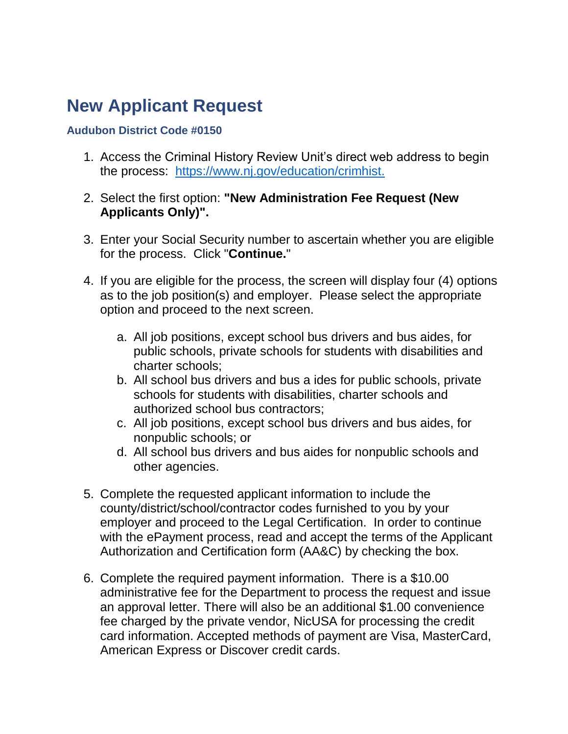### **New Applicant Request**

#### **Audubon District Code #0150**

- 1. Access the Criminal History Review Unit's direct web address to begin the process: [https://www.nj.gov/education/crimhist.](https://www.nj.gov/education/crimhist)
- 2. Select the first option: **"New Administration Fee Request (New Applicants Only)".**
- 3. Enter your Social Security number to ascertain whether you are eligible for the process. Click "**Continue.**"
- 4. If you are eligible for the process, the screen will display four (4) options as to the job position(s) and employer. Please select the appropriate option and proceed to the next screen.
	- a. All job positions, except school bus drivers and bus aides, for public schools, private schools for students with disabilities and charter schools;
	- b. All school bus drivers and bus a ides for public schools, private schools for students with disabilities, charter schools and authorized school bus contractors;
	- c. All job positions, except school bus drivers and bus aides, for nonpublic schools; or
	- d. All school bus drivers and bus aides for nonpublic schools and other agencies.
- 5. Complete the requested applicant information to include the county/district/school/contractor codes furnished to you by your employer and proceed to the Legal Certification. In order to continue with the ePayment process, read and accept the terms of the Applicant Authorization and Certification form (AA&C) by checking the box.
- 6. Complete the required payment information. There is a \$10.00 administrative fee for the Department to process the request and issue an approval letter. There will also be an additional \$1.00 convenience fee charged by the private vendor, NicUSA for processing the credit card information. Accepted methods of payment are Visa, MasterCard, American Express or Discover credit cards.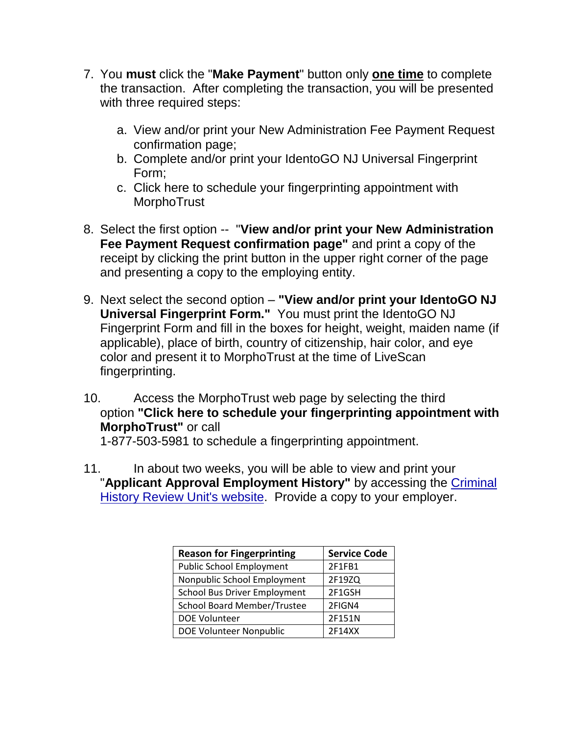- 7. You **must** click the "**Make Payment**" button only **one time** to complete the transaction. After completing the transaction, you will be presented with three required steps:
	- a. View and/or print your New Administration Fee Payment Request confirmation page;
	- b. Complete and/or print your IdentoGO NJ Universal Fingerprint Form;
	- c. Click here to schedule your fingerprinting appointment with **MorphoTrust**
- 8. Select the first option -- "**View and/or print your New Administration Fee Payment Request confirmation page"** and print a copy of the receipt by clicking the print button in the upper right corner of the page and presenting a copy to the employing entity.
- 9. Next select the second option **"View and/or print your IdentoGO NJ Universal Fingerprint Form."** You must print the IdentoGO NJ Fingerprint Form and fill in the boxes for height, weight, maiden name (if applicable), place of birth, country of citizenship, hair color, and eye color and present it to MorphoTrust at the time of LiveScan fingerprinting.
- 10. Access the MorphoTrust web page by selecting the third option **"Click here to schedule your fingerprinting appointment with MorphoTrust"** or call 1-877-503-5981 to schedule a fingerprinting appointment.
- 11. In about two weeks, you will be able to view and print your "**Applicant Approval Employment History"** by accessing the [Criminal](https://nj.gov/education/crimhist/)  [History Review Unit's website.](https://nj.gov/education/crimhist/) Provide a copy to your employer.

| <b>Reason for Fingerprinting</b>   | <b>Service Code</b> |
|------------------------------------|---------------------|
| <b>Public School Employment</b>    | 2F1FB1              |
| Nonpublic School Employment        | 2F19ZQ              |
| School Bus Driver Employment       | 2F1GSH              |
| <b>School Board Member/Trustee</b> | 2FIGN4              |
| <b>DOE Volunteer</b>               | 2F151N              |
| DOE Volunteer Nonpublic            | 2F14XX              |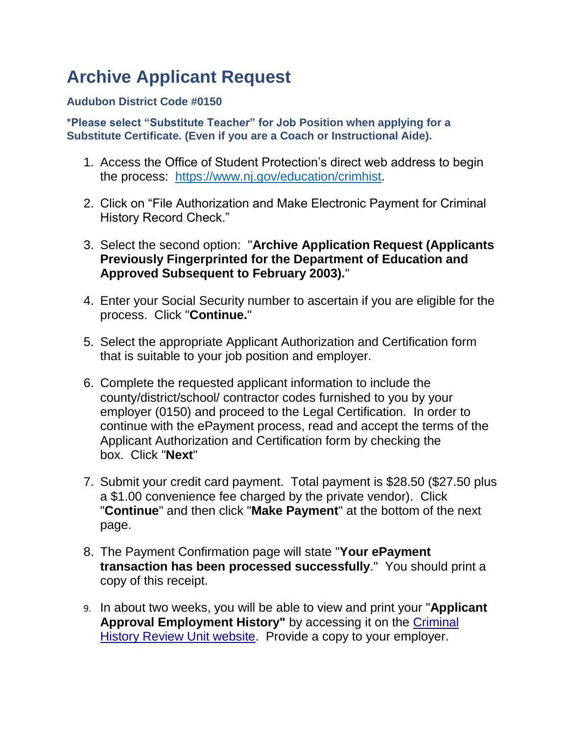# **Archive Applicant Request**

### **Audubon District Code #0150**

**\*Please select "Substitute Teacher" for Job Position when applying for a Substitute Certificate. (Even if you are a Coach or Instructional Aide).**

- 1. Access the Office of Student Protection's direct web address to begin the process: [https://www.nj.gov/education/crimhist.](https://www.nj.gov/education/crimhist)
- 2. Click on "File Authorization and Make Electronic Payment for Criminal History Record Check."
- 3. Select the second option: "**Archive Application Request (Applicants Previously Fingerprinted for the Department of Education and Approved Subsequent to February 2003).**"
- 4. Enter your Social Security number to ascertain if you are eligible for the process. Click "**Continue.**"
- 5. Select the appropriate Applicant Authorization and Certification form that is suitable to your job position and employer.
- 6. Complete the requested applicant information to include the county/district/school/ contractor codes furnished to you by your employer (0150) and proceed to the Legal Certification. In order to continue with the ePayment process, read and accept the terms of the Applicant Authorization and Certification form by checking the box. Click "**Next**"
- 7. Submit your credit card payment. Total payment is \$28.50 (\$27.50 plus a \$1.00 convenience fee charged by the private vendor). Click "**Continue**" and then click "**Make Payment**" at the bottom of the next page.
- 8. The Payment Confirmation page will state "**Your ePayment transaction has been processed successfully**." You should print a copy of this receipt.
- 9. In about two weeks, you will be able to view and print your "**Applicant Approval Employment History"** by accessing it on the [Criminal](https://nj.gov/education/crimhist/)  [History Review Unit website.](https://nj.gov/education/crimhist/) Provide a copy to your employer.